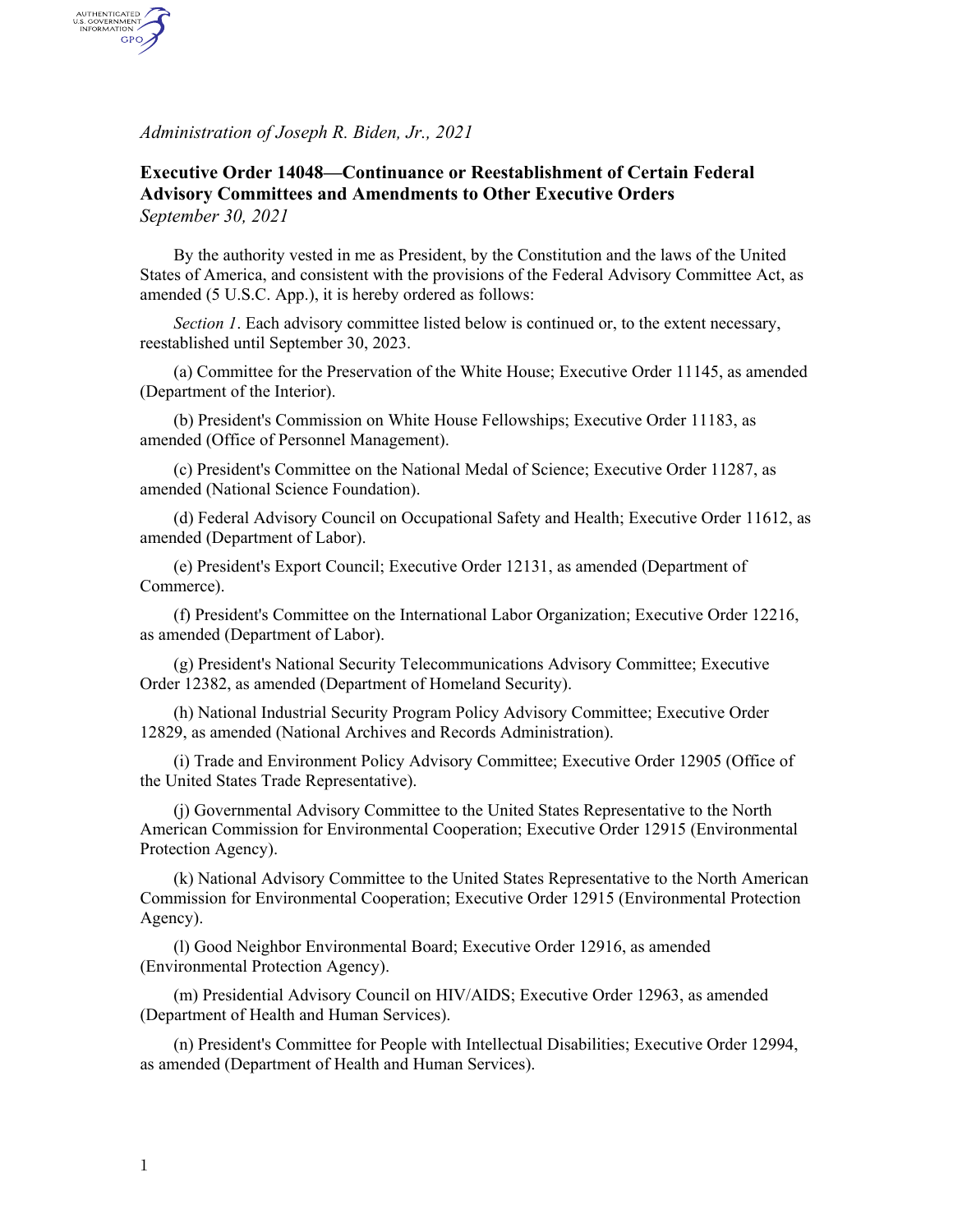*Administration of Joseph R. Biden, Jr., 2021*

AUTHENTICATED<br>U.S. GOVERNMENT<br>INFORMATION GPO

## **Executive Order 14048—Continuance or Reestablishment of Certain Federal Advisory Committees and Amendments to Other Executive Orders** *September 30, 2021*

By the authority vested in me as President, by the Constitution and the laws of the United States of America, and consistent with the provisions of the Federal Advisory Committee Act, as amended (5 U.S.C. App.), it is hereby ordered as follows:

*Section 1*. Each advisory committee listed below is continued or, to the extent necessary, reestablished until September 30, 2023.

(a) Committee for the Preservation of the White House; Executive Order 11145, as amended (Department of the Interior).

(b) President's Commission on White House Fellowships; Executive Order 11183, as amended (Office of Personnel Management).

(c) President's Committee on the National Medal of Science; Executive Order 11287, as amended (National Science Foundation).

(d) Federal Advisory Council on Occupational Safety and Health; Executive Order 11612, as amended (Department of Labor).

(e) President's Export Council; Executive Order 12131, as amended (Department of Commerce).

(f) President's Committee on the International Labor Organization; Executive Order 12216, as amended (Department of Labor).

(g) President's National Security Telecommunications Advisory Committee; Executive Order 12382, as amended (Department of Homeland Security).

(h) National Industrial Security Program Policy Advisory Committee; Executive Order 12829, as amended (National Archives and Records Administration).

(i) Trade and Environment Policy Advisory Committee; Executive Order 12905 (Office of the United States Trade Representative).

(j) Governmental Advisory Committee to the United States Representative to the North American Commission for Environmental Cooperation; Executive Order 12915 (Environmental Protection Agency).

(k) National Advisory Committee to the United States Representative to the North American Commission for Environmental Cooperation; Executive Order 12915 (Environmental Protection Agency).

(l) Good Neighbor Environmental Board; Executive Order 12916, as amended (Environmental Protection Agency).

(m) Presidential Advisory Council on HIV/AIDS; Executive Order 12963, as amended (Department of Health and Human Services).

(n) President's Committee for People with Intellectual Disabilities; Executive Order 12994, as amended (Department of Health and Human Services).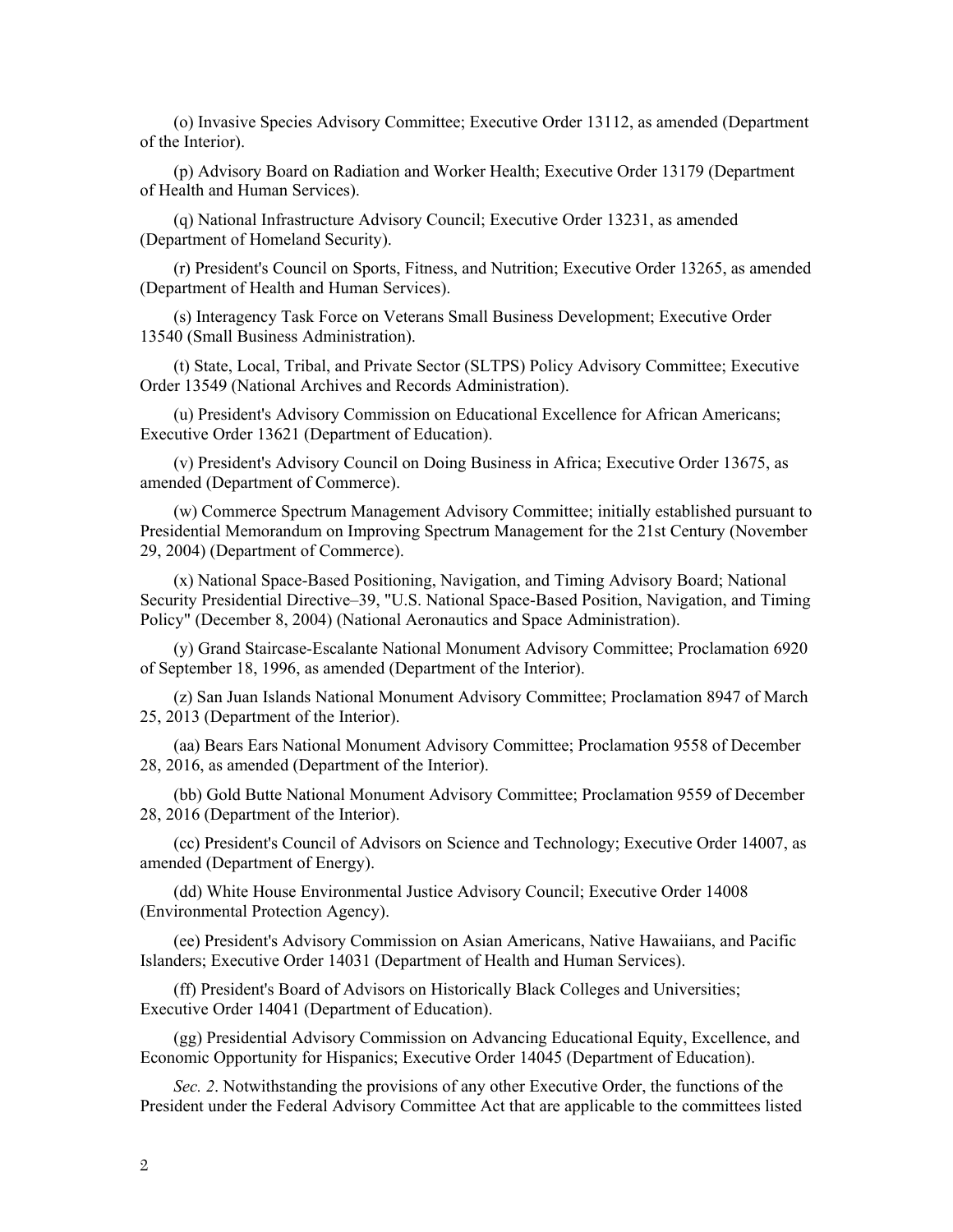(o) Invasive Species Advisory Committee; Executive Order 13112, as amended (Department of the Interior).

(p) Advisory Board on Radiation and Worker Health; Executive Order 13179 (Department of Health and Human Services).

(q) National Infrastructure Advisory Council; Executive Order 13231, as amended (Department of Homeland Security).

(r) President's Council on Sports, Fitness, and Nutrition; Executive Order 13265, as amended (Department of Health and Human Services).

(s) Interagency Task Force on Veterans Small Business Development; Executive Order 13540 (Small Business Administration).

(t) State, Local, Tribal, and Private Sector (SLTPS) Policy Advisory Committee; Executive Order 13549 (National Archives and Records Administration).

(u) President's Advisory Commission on Educational Excellence for African Americans; Executive Order 13621 (Department of Education).

(v) President's Advisory Council on Doing Business in Africa; Executive Order 13675, as amended (Department of Commerce).

(w) Commerce Spectrum Management Advisory Committee; initially established pursuant to Presidential Memorandum on Improving Spectrum Management for the 21st Century (November 29, 2004) (Department of Commerce).

(x) National Space-Based Positioning, Navigation, and Timing Advisory Board; National Security Presidential Directive–39, "U.S. National Space-Based Position, Navigation, and Timing Policy" (December 8, 2004) (National Aeronautics and Space Administration).

(y) Grand Staircase-Escalante National Monument Advisory Committee; Proclamation 6920 of September 18, 1996, as amended (Department of the Interior).

(z) San Juan Islands National Monument Advisory Committee; Proclamation 8947 of March 25, 2013 (Department of the Interior).

(aa) Bears Ears National Monument Advisory Committee; Proclamation 9558 of December 28, 2016, as amended (Department of the Interior).

(bb) Gold Butte National Monument Advisory Committee; Proclamation 9559 of December 28, 2016 (Department of the Interior).

(cc) President's Council of Advisors on Science and Technology; Executive Order 14007, as amended (Department of Energy).

(dd) White House Environmental Justice Advisory Council; Executive Order 14008 (Environmental Protection Agency).

(ee) President's Advisory Commission on Asian Americans, Native Hawaiians, and Pacific Islanders; Executive Order 14031 (Department of Health and Human Services).

(ff) President's Board of Advisors on Historically Black Colleges and Universities; Executive Order 14041 (Department of Education).

(gg) Presidential Advisory Commission on Advancing Educational Equity, Excellence, and Economic Opportunity for Hispanics; Executive Order 14045 (Department of Education).

*Sec. 2*. Notwithstanding the provisions of any other Executive Order, the functions of the President under the Federal Advisory Committee Act that are applicable to the committees listed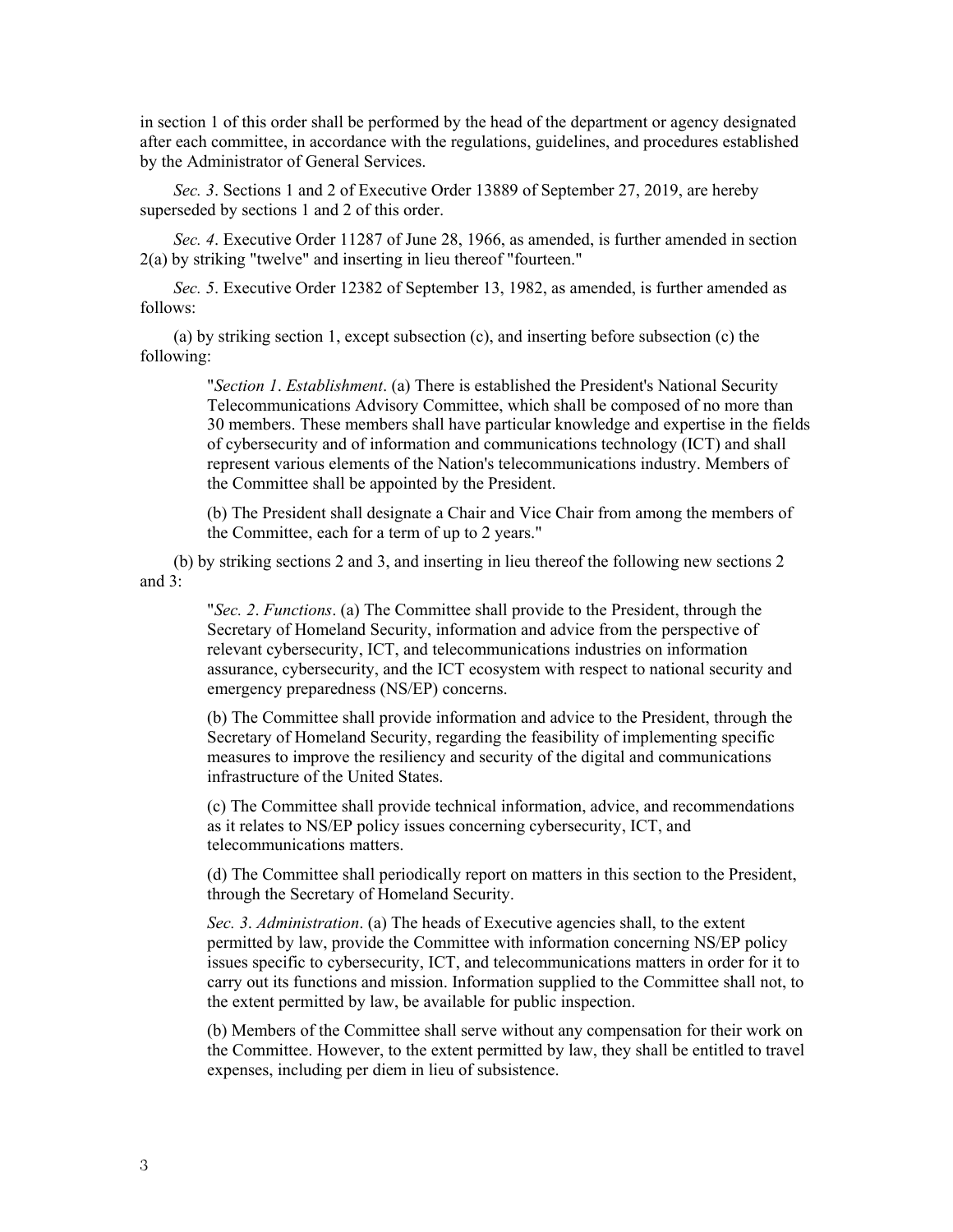in section 1 of this order shall be performed by the head of the department or agency designated after each committee, in accordance with the regulations, guidelines, and procedures established by the Administrator of General Services.

*Sec. 3*. Sections 1 and 2 of Executive Order 13889 of September 27, 2019, are hereby superseded by sections 1 and 2 of this order.

*Sec. 4*. Executive Order 11287 of June 28, 1966, as amended, is further amended in section 2(a) by striking "twelve" and inserting in lieu thereof "fourteen."

*Sec. 5*. Executive Order 12382 of September 13, 1982, as amended, is further amended as follows:

(a) by striking section 1, except subsection (c), and inserting before subsection (c) the following:

> "*Section 1*. *Establishment*. (a) There is established the President's National Security Telecommunications Advisory Committee, which shall be composed of no more than 30 members. These members shall have particular knowledge and expertise in the fields of cybersecurity and of information and communications technology (ICT) and shall represent various elements of the Nation's telecommunications industry. Members of the Committee shall be appointed by the President.

(b) The President shall designate a Chair and Vice Chair from among the members of the Committee, each for a term of up to 2 years."

(b) by striking sections 2 and 3, and inserting in lieu thereof the following new sections 2 and 3:

> "*Sec. 2*. *Functions*. (a) The Committee shall provide to the President, through the Secretary of Homeland Security, information and advice from the perspective of relevant cybersecurity, ICT, and telecommunications industries on information assurance, cybersecurity, and the ICT ecosystem with respect to national security and emergency preparedness (NS/EP) concerns.

> (b) The Committee shall provide information and advice to the President, through the Secretary of Homeland Security, regarding the feasibility of implementing specific measures to improve the resiliency and security of the digital and communications infrastructure of the United States.

> (c) The Committee shall provide technical information, advice, and recommendations as it relates to NS/EP policy issues concerning cybersecurity, ICT, and telecommunications matters.

> (d) The Committee shall periodically report on matters in this section to the President, through the Secretary of Homeland Security.

*Sec. 3*. *Administration*. (a) The heads of Executive agencies shall, to the extent permitted by law, provide the Committee with information concerning NS/EP policy issues specific to cybersecurity, ICT, and telecommunications matters in order for it to carry out its functions and mission. Information supplied to the Committee shall not, to the extent permitted by law, be available for public inspection.

(b) Members of the Committee shall serve without any compensation for their work on the Committee. However, to the extent permitted by law, they shall be entitled to travel expenses, including per diem in lieu of subsistence.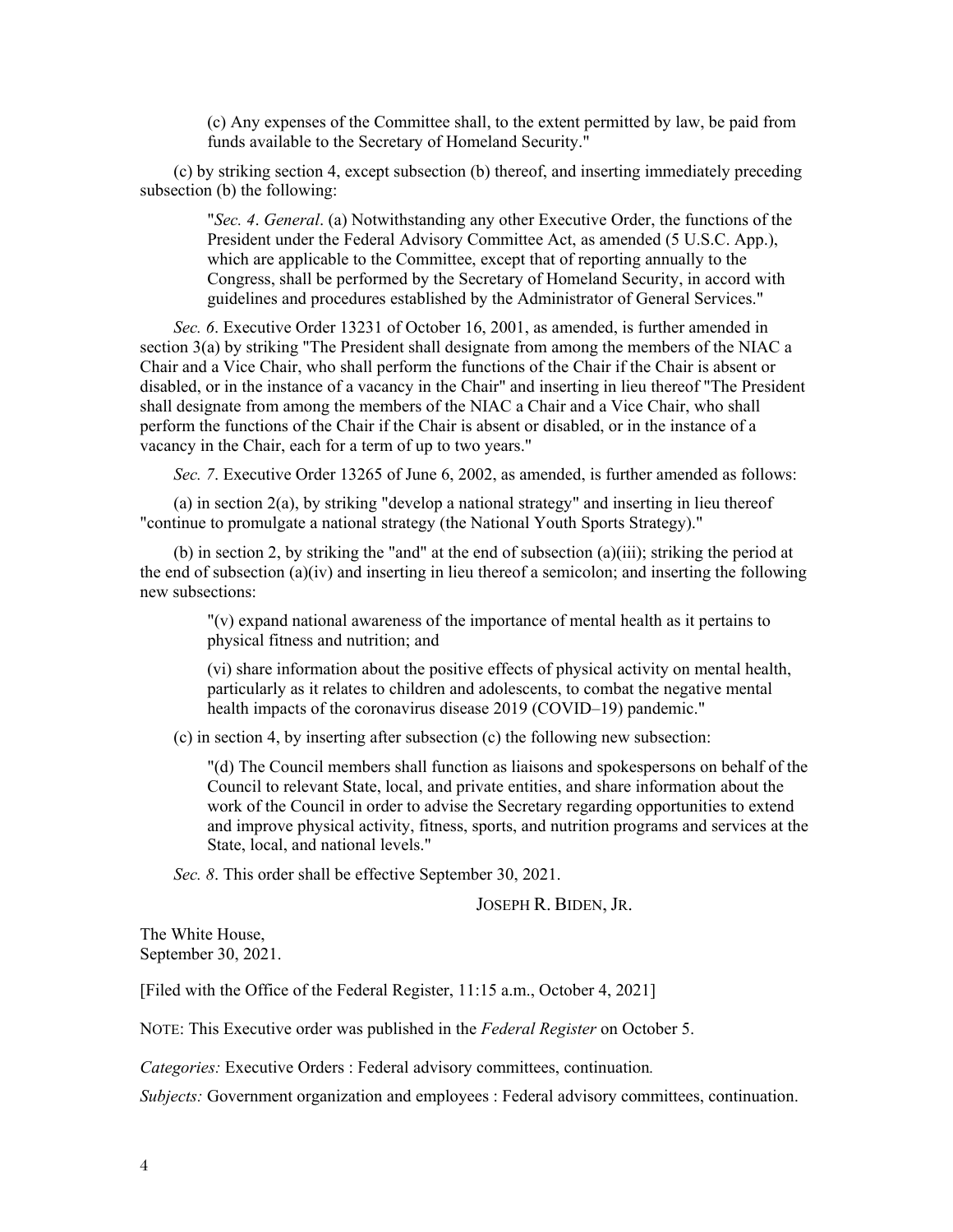(c) Any expenses of the Committee shall, to the extent permitted by law, be paid from funds available to the Secretary of Homeland Security."

(c) by striking section 4, except subsection (b) thereof, and inserting immediately preceding subsection (b) the following:

"*Sec. 4*. *General*. (a) Notwithstanding any other Executive Order, the functions of the President under the Federal Advisory Committee Act, as amended (5 U.S.C. App.), which are applicable to the Committee, except that of reporting annually to the Congress, shall be performed by the Secretary of Homeland Security, in accord with guidelines and procedures established by the Administrator of General Services."

*Sec. 6*. Executive Order 13231 of October 16, 2001, as amended, is further amended in section 3(a) by striking "The President shall designate from among the members of the NIAC a Chair and a Vice Chair, who shall perform the functions of the Chair if the Chair is absent or disabled, or in the instance of a vacancy in the Chair" and inserting in lieu thereof "The President shall designate from among the members of the NIAC a Chair and a Vice Chair, who shall perform the functions of the Chair if the Chair is absent or disabled, or in the instance of a vacancy in the Chair, each for a term of up to two years."

*Sec. 7*. Executive Order 13265 of June 6, 2002, as amended, is further amended as follows:

(a) in section 2(a), by striking "develop a national strategy" and inserting in lieu thereof "continue to promulgate a national strategy (the National Youth Sports Strategy)."

(b) in section 2, by striking the "and" at the end of subsection  $(a)(iii)$ ; striking the period at the end of subsection (a)(iv) and inserting in lieu thereof a semicolon; and inserting the following new subsections:

"(v) expand national awareness of the importance of mental health as it pertains to physical fitness and nutrition; and

(vi) share information about the positive effects of physical activity on mental health, particularly as it relates to children and adolescents, to combat the negative mental health impacts of the coronavirus disease 2019 (COVID–19) pandemic."

(c) in section 4, by inserting after subsection (c) the following new subsection:

"(d) The Council members shall function as liaisons and spokespersons on behalf of the Council to relevant State, local, and private entities, and share information about the work of the Council in order to advise the Secretary regarding opportunities to extend and improve physical activity, fitness, sports, and nutrition programs and services at the State, local, and national levels."

*Sec. 8*. This order shall be effective September 30, 2021.

JOSEPH R. BIDEN, JR.

The White House, September 30, 2021.

[Filed with the Office of the Federal Register, 11:15 a.m., October 4, 2021]

NOTE: This Executive order was published in the *Federal Register* on October 5.

*Categories:* Executive Orders : Federal advisory committees, continuation*.*

*Subjects:* Government organization and employees : Federal advisory committees, continuation.